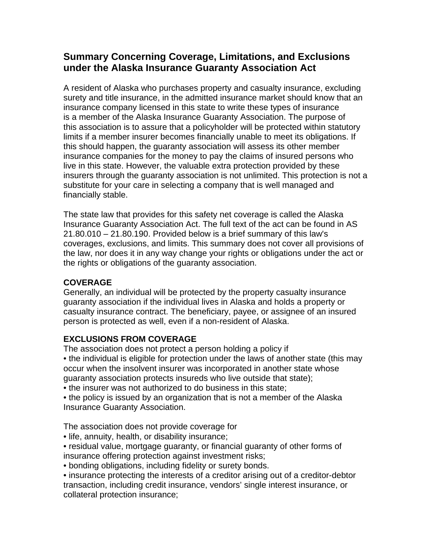# **Summary Concerning Coverage, Limitations, and Exclusions under the Alaska Insurance Guaranty Association Act**

A resident of Alaska who purchases property and casualty insurance, excluding surety and title insurance, in the admitted insurance market should know that an insurance company licensed in this state to write these types of insurance is a member of the Alaska Insurance Guaranty Association. The purpose of this association is to assure that a policyholder will be protected within statutory limits if a member insurer becomes financially unable to meet its obligations. If this should happen, the guaranty association will assess its other member insurance companies for the money to pay the claims of insured persons who live in this state. However, the valuable extra protection provided by these insurers through the guaranty association is not unlimited. This protection is not a substitute for your care in selecting a company that is well managed and financially stable.

The state law that provides for this safety net coverage is called the Alaska Insurance Guaranty Association Act. The full text of the act can be found in AS 21.80.010 – 21.80.190. Provided below is a brief summary of this law's coverages, exclusions, and limits. This summary does not cover all provisions of the law, nor does it in any way change your rights or obligations under the act or the rights or obligations of the guaranty association.

## **COVERAGE**

Generally, an individual will be protected by the property casualty insurance guaranty association if the individual lives in Alaska and holds a property or casualty insurance contract. The beneficiary, payee, or assignee of an insured person is protected as well, even if a non-resident of Alaska.

## **EXCLUSIONS FROM COVERAGE**

The association does not protect a person holding a policy if • the individual is eligible for protection under the laws of another state (this may occur when the insolvent insurer was incorporated in another state whose guaranty association protects insureds who live outside that state);

• the insurer was not authorized to do business in this state;

• the policy is issued by an organization that is not a member of the Alaska Insurance Guaranty Association.

The association does not provide coverage for

• life, annuity, health, or disability insurance;

• residual value, mortgage guaranty, or financial guaranty of other forms of insurance offering protection against investment risks;

• bonding obligations, including fidelity or surety bonds.

• insurance protecting the interests of a creditor arising out of a creditor-debtor transaction, including credit insurance, vendors' single interest insurance, or collateral protection insurance;